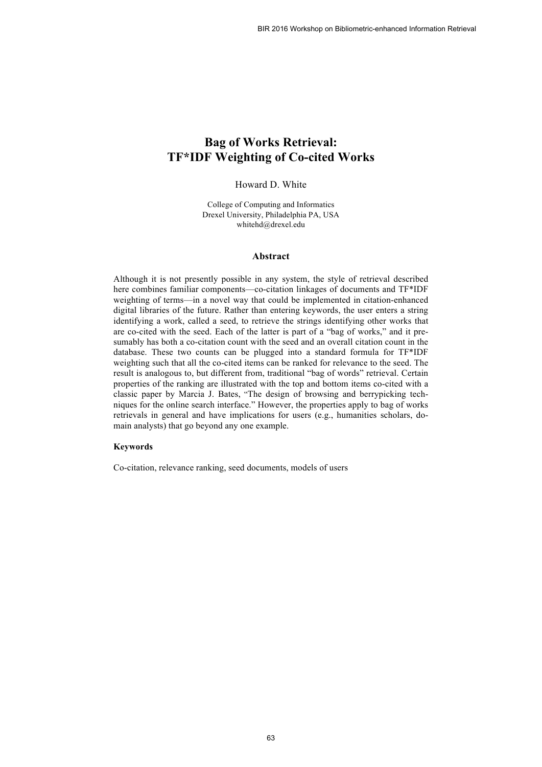# **Bag of Works Retrieval: TF\*IDF Weighting of Co-cited Works**

## Howard D. White

College of Computing and Informatics Drexel University, Philadelphia PA, USA whitehd@drexel.edu

#### **Abstract**

Although it is not presently possible in any system, the style of retrieval described here combines familiar components—co-citation linkages of documents and TF\*IDF weighting of terms—in a novel way that could be implemented in citation-enhanced digital libraries of the future. Rather than entering keywords, the user enters a string identifying a work, called a seed, to retrieve the strings identifying other works that are co-cited with the seed. Each of the latter is part of a "bag of works," and it presumably has both a co-citation count with the seed and an overall citation count in the database. These two counts can be plugged into a standard formula for TF\*IDF weighting such that all the co-cited items can be ranked for relevance to the seed. The result is analogous to, but different from, traditional "bag of words" retrieval. Certain properties of the ranking are illustrated with the top and bottom items co-cited with a classic paper by Marcia J. Bates, "The design of browsing and berrypicking techniques for the online search interface." However, the properties apply to bag of works retrievals in general and have implications for users (e.g., humanities scholars, domain analysts) that go beyond any one example.

#### **Keywords**

Co-citation, relevance ranking, seed documents, models of users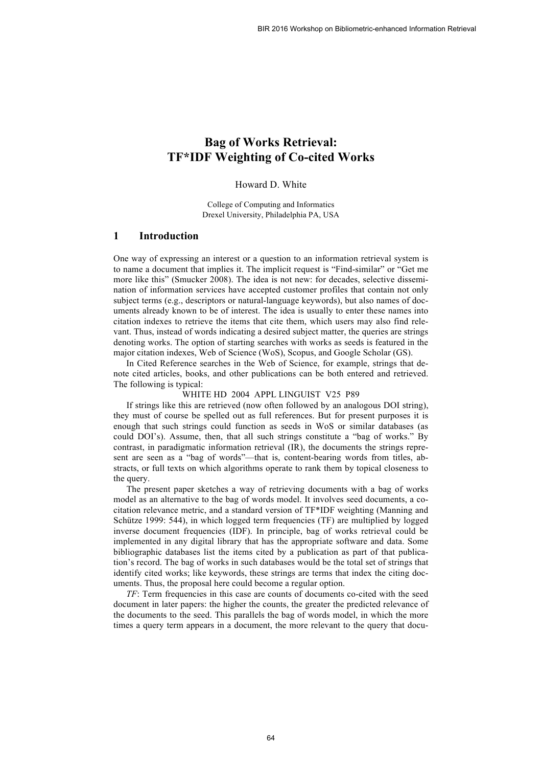# **Bag of Works Retrieval: TF\*IDF Weighting of Co-cited Works**

## Howard D. White

College of Computing and Informatics Drexel University, Philadelphia PA, USA

### **1 Introduction**

One way of expressing an interest or a question to an information retrieval system is to name a document that implies it. The implicit request is "Find-similar" or "Get me more like this" (Smucker 2008). The idea is not new: for decades, selective dissemination of information services have accepted customer profiles that contain not only subject terms (e.g., descriptors or natural-language keywords), but also names of documents already known to be of interest. The idea is usually to enter these names into citation indexes to retrieve the items that cite them, which users may also find relevant. Thus, instead of words indicating a desired subject matter, the queries are strings denoting works. The option of starting searches with works as seeds is featured in the major citation indexes, Web of Science (WoS), Scopus, and Google Scholar (GS).

In Cited Reference searches in the Web of Science, for example, strings that denote cited articles, books, and other publications can be both entered and retrieved. The following is typical:

#### WHITE HD 2004 APPL LINGUIST V25 P89

If strings like this are retrieved (now often followed by an analogous DOI string), they must of course be spelled out as full references. But for present purposes it is enough that such strings could function as seeds in WoS or similar databases (as could DOI's). Assume, then, that all such strings constitute a "bag of works." By contrast, in paradigmatic information retrieval (IR), the documents the strings represent are seen as a "bag of words"—that is, content-bearing words from titles, abstracts, or full texts on which algorithms operate to rank them by topical closeness to the query.

The present paper sketches a way of retrieving documents with a bag of works model as an alternative to the bag of words model. It involves seed documents, a cocitation relevance metric, and a standard version of TF\*IDF weighting (Manning and Schütze 1999: 544), in which logged term frequencies (TF) are multiplied by logged inverse document frequencies (IDF). In principle, bag of works retrieval could be implemented in any digital library that has the appropriate software and data. Some bibliographic databases list the items cited by a publication as part of that publication's record. The bag of works in such databases would be the total set of strings that identify cited works; like keywords, these strings are terms that index the citing documents. Thus, the proposal here could become a regular option.

*TF*: Term frequencies in this case are counts of documents co-cited with the seed document in later papers: the higher the counts, the greater the predicted relevance of the documents to the seed. This parallels the bag of words model, in which the more times a query term appears in a document, the more relevant to the query that docu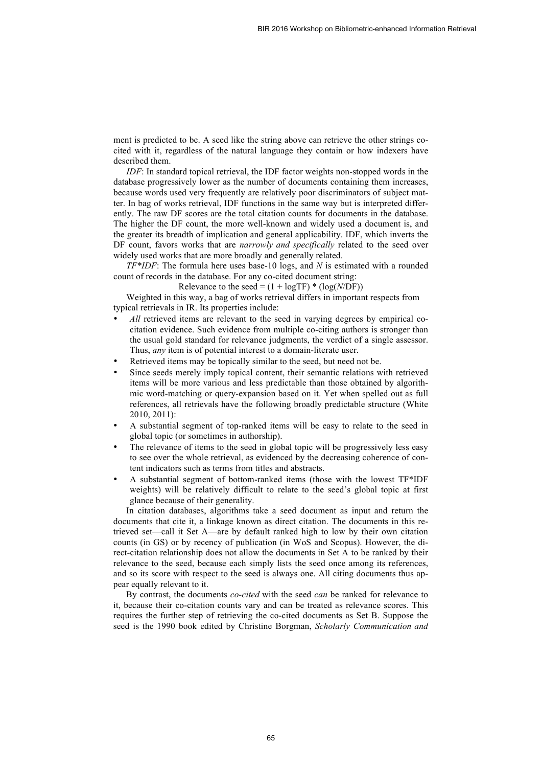ment is predicted to be. A seed like the string above can retrieve the other strings cocited with it, regardless of the natural language they contain or how indexers have described them.

*IDF*: In standard topical retrieval, the IDF factor weights non-stopped words in the database progressively lower as the number of documents containing them increases, because words used very frequently are relatively poor discriminators of subject matter. In bag of works retrieval, IDF functions in the same way but is interpreted differently. The raw DF scores are the total citation counts for documents in the database. The higher the DF count, the more well-known and widely used a document is, and the greater its breadth of implication and general applicability. IDF, which inverts the DF count, favors works that are *narrowly and specifically* related to the seed over widely used works that are more broadly and generally related.

*TF\*IDF*: The formula here uses base-10 logs, and *N* is estimated with a rounded count of records in the database. For any co-cited document string:

Relevance to the seed =  $(1 + \log TF) * (\log(N/DF))$ 

Weighted in this way, a bag of works retrieval differs in important respects from typical retrievals in IR. Its properties include:

- All retrieved items are relevant to the seed in varying degrees by empirical cocitation evidence. Such evidence from multiple co-citing authors is stronger than the usual gold standard for relevance judgments, the verdict of a single assessor. Thus, *any* item is of potential interest to a domain-literate user.
- Retrieved items may be topically similar to the seed, but need not be.
- Since seeds merely imply topical content, their semantic relations with retrieved items will be more various and less predictable than those obtained by algorithmic word-matching or query-expansion based on it. Yet when spelled out as full references, all retrievals have the following broadly predictable structure (White 2010, 2011):
- A substantial segment of top-ranked items will be easy to relate to the seed in global topic (or sometimes in authorship).
- The relevance of items to the seed in global topic will be progressively less easy to see over the whole retrieval, as evidenced by the decreasing coherence of content indicators such as terms from titles and abstracts.
- A substantial segment of bottom-ranked items (those with the lowest TF\*IDF weights) will be relatively difficult to relate to the seed's global topic at first glance because of their generality.

In citation databases, algorithms take a seed document as input and return the documents that cite it, a linkage known as direct citation. The documents in this retrieved set—call it Set A—are by default ranked high to low by their own citation counts (in GS) or by recency of publication (in WoS and Scopus). However, the direct-citation relationship does not allow the documents in Set A to be ranked by their relevance to the seed, because each simply lists the seed once among its references, and so its score with respect to the seed is always one. All citing documents thus appear equally relevant to it.

By contrast, the documents *co-cited* with the seed *can* be ranked for relevance to it, because their co-citation counts vary and can be treated as relevance scores. This requires the further step of retrieving the co-cited documents as Set B. Suppose the seed is the 1990 book edited by Christine Borgman, *Scholarly Communication and*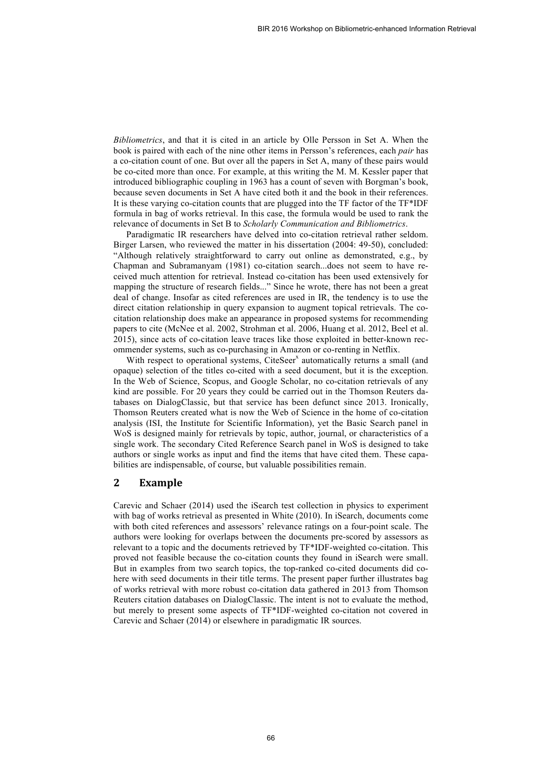*Bibliometrics*, and that it is cited in an article by Olle Persson in Set A. When the book is paired with each of the nine other items in Persson's references, each *pair* has a co-citation count of one. But over all the papers in Set A, many of these pairs would be co-cited more than once. For example, at this writing the M. M. Kessler paper that introduced bibliographic coupling in 1963 has a count of seven with Borgman's book, because seven documents in Set A have cited both it and the book in their references. It is these varying co-citation counts that are plugged into the TF factor of the TF\*IDF formula in bag of works retrieval. In this case, the formula would be used to rank the relevance of documents in Set B to *Scholarly Communication and Bibliometrics*.

Paradigmatic IR researchers have delved into co-citation retrieval rather seldom. Birger Larsen, who reviewed the matter in his dissertation (2004: 49-50), concluded: "Although relatively straightforward to carry out online as demonstrated, e.g., by Chapman and Subramanyam (1981) co-citation search...does not seem to have received much attention for retrieval. Instead co-citation has been used extensively for mapping the structure of research fields..." Since he wrote, there has not been a great deal of change. Insofar as cited references are used in IR, the tendency is to use the direct citation relationship in query expansion to augment topical retrievals. The cocitation relationship does make an appearance in proposed systems for recommending papers to cite (McNee et al. 2002, Strohman et al. 2006, Huang et al. 2012, Beel et al. 2015), since acts of co-citation leave traces like those exploited in better-known recommender systems, such as co-purchasing in Amazon or co-renting in Netflix.

With respect to operational systems, CiteSeer<sup>x</sup> automatically returns a small (and opaque) selection of the titles co-cited with a seed document, but it is the exception. In the Web of Science, Scopus, and Google Scholar, no co-citation retrievals of any kind are possible. For 20 years they could be carried out in the Thomson Reuters databases on DialogClassic, but that service has been defunct since 2013. Ironically, Thomson Reuters created what is now the Web of Science in the home of co-citation analysis (ISI, the Institute for Scientific Information), yet the Basic Search panel in WoS is designed mainly for retrievals by topic, author, journal, or characteristics of a single work. The secondary Cited Reference Search panel in WoS is designed to take authors or single works as input and find the items that have cited them. These capabilities are indispensable, of course, but valuable possibilities remain.

## **2 Example**

Carevic and Schaer (2014) used the iSearch test collection in physics to experiment with bag of works retrieval as presented in White (2010). In iSearch, documents come with both cited references and assessors' relevance ratings on a four-point scale. The authors were looking for overlaps between the documents pre-scored by assessors as relevant to a topic and the documents retrieved by TF\*IDF-weighted co-citation. This proved not feasible because the co-citation counts they found in iSearch were small. But in examples from two search topics, the top-ranked co-cited documents did cohere with seed documents in their title terms. The present paper further illustrates bag of works retrieval with more robust co-citation data gathered in 2013 from Thomson Reuters citation databases on DialogClassic. The intent is not to evaluate the method, but merely to present some aspects of TF\*IDF-weighted co-citation not covered in Carevic and Schaer (2014) or elsewhere in paradigmatic IR sources.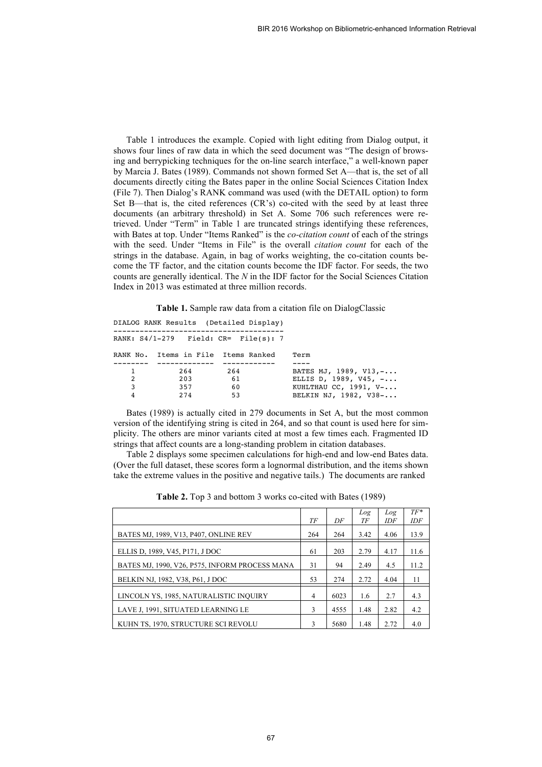Table 1 introduces the example. Copied with light editing from Dialog output, it shows four lines of raw data in which the seed document was "The design of browsing and berrypicking techniques for the on-line search interface," a well-known paper by Marcia J. Bates (1989). Commands not shown formed Set A—that is, the set of all documents directly citing the Bates paper in the online Social Sciences Citation Index (File 7). Then Dialog's RANK command was used (with the DETAIL option) to form Set B—that is, the cited references (CR's) co-cited with the seed by at least three documents (an arbitrary threshold) in Set A. Some 706 such references were retrieved. Under "Term" in Table 1 are truncated strings identifying these references, with Bates at top. Under "Items Ranked" is the *co-citation count* of each of the strings with the seed. Under "Items in File" is the overall *citation count* for each of the strings in the database. Again, in bag of works weighting, the co-citation counts become the TF factor, and the citation counts become the IDF factor. For seeds, the two counts are generally identical. The *N* in the IDF factor for the Social Sciences Citation Index in 2013 was estimated at three million records.

**Table 1.** Sample raw data from a citation file on DialogClassic

|   |                                     | DIALOG RANK Results (Detailed Display)    |                                |
|---|-------------------------------------|-------------------------------------------|--------------------------------|
|   |                                     | RANK: $S4/1-279$ Field: $CR =$ File(s): 7 |                                |
|   | RANK No. Items in File Items Ranked |                                           | Term                           |
|   |                                     |                                           |                                |
| 1 | 264                                 | 264                                       | BATES MJ, 1989, V13, -         |
| 2 | 203                                 | 61                                        | ELLIS D, 1989, V45, $- \ldots$ |
| 3 | 357                                 | 60                                        | KUHLTHAU CC, $1991, V$ -       |
| 4 | 274                                 | 53                                        | BELKIN NJ, 1982, V38-          |
|   |                                     |                                           |                                |

Bates (1989) is actually cited in 279 documents in Set A, but the most common version of the identifying string is cited in 264, and so that count is used here for simplicity. The others are minor variants cited at most a few times each. Fragmented ID strings that affect counts are a long-standing problem in citation databases.

Table 2 displays some specimen calculations for high-end and low-end Bates data. (Over the full dataset, these scores form a lognormal distribution, and the items shown take the extreme values in the positive and negative tails.) The documents are ranked

|                                                |                |      | Log  | Log  | $TF^*$ |
|------------------------------------------------|----------------|------|------|------|--------|
|                                                | TF             | DF   | ТF   | IDF  | IDF    |
| BATES MJ, 1989, V13, P407, ONLINE REV          | 264            | 264  | 3.42 | 4.06 | 13.9   |
| ELLIS D, 1989, V45, P171, J DOC                | 61             | 203  | 2.79 | 4.17 | 11.6   |
| BATES MJ, 1990, V26, P575, INFORM PROCESS MANA | 31             | 94   | 2.49 | 4.5  | 11.2   |
| BELKIN NJ, 1982, V38, P61, J DOC               | 53             | 274  | 2.72 | 4.04 | 11     |
| LINCOLN YS, 1985, NATURALISTIC INQUIRY         | $\overline{4}$ | 6023 | 1.6  | 2.7  | 4.3    |
| LAVE J. 1991, SITUATED LEARNING LE             |                | 4555 | 1.48 | 2.82 | 4.2    |
| KUHN TS, 1970, STRUCTURE SCI REVOLU            | 3              | 5680 | 1.48 | 2.72 | 4.0    |

**Table 2.** Top 3 and bottom 3 works co-cited with Bates (1989)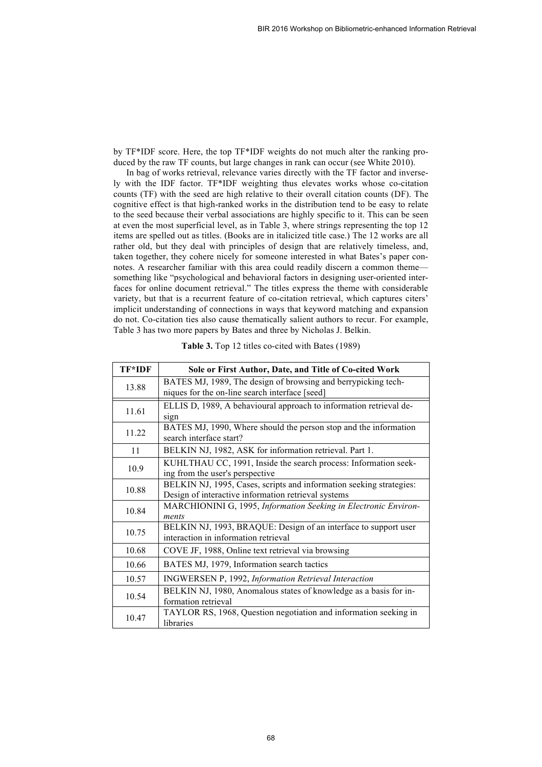by TF\*IDF score. Here, the top TF\*IDF weights do not much alter the ranking produced by the raw TF counts, but large changes in rank can occur (see White 2010).

In bag of works retrieval, relevance varies directly with the TF factor and inversely with the IDF factor. TF\*IDF weighting thus elevates works whose co-citation counts (TF) with the seed are high relative to their overall citation counts (DF). The cognitive effect is that high-ranked works in the distribution tend to be easy to relate to the seed because their verbal associations are highly specific to it. This can be seen at even the most superficial level, as in Table 3, where strings representing the top 12 items are spelled out as titles. (Books are in italicized title case.) The 12 works are all rather old, but they deal with principles of design that are relatively timeless, and, taken together, they cohere nicely for someone interested in what Bates's paper connotes. A researcher familiar with this area could readily discern a common theme something like "psychological and behavioral factors in designing user-oriented interfaces for online document retrieval." The titles express the theme with considerable variety, but that is a recurrent feature of co-citation retrieval, which captures citers' implicit understanding of connections in ways that keyword matching and expansion do not. Co-citation ties also cause thematically salient authors to recur. For example, Table 3 has two more papers by Bates and three by Nicholas J. Belkin.

| TF*IDF | Sole or First Author, Date, and Title of Co-cited Work              |  |  |
|--------|---------------------------------------------------------------------|--|--|
| 13.88  | BATES MJ, 1989, The design of browsing and berrypicking tech-       |  |  |
|        | niques for the on-line search interface [seed]                      |  |  |
| 11.61  | ELLIS D, 1989, A behavioural approach to information retrieval de-  |  |  |
|        | sign                                                                |  |  |
| 11.22  | BATES MJ, 1990, Where should the person stop and the information    |  |  |
|        | search interface start?                                             |  |  |
| 11     | BELKIN NJ, 1982, ASK for information retrieval. Part 1.             |  |  |
| 10.9   | KUHLTHAU CC, 1991, Inside the search process: Information seek-     |  |  |
|        | ing from the user's perspective                                     |  |  |
| 10.88  | BELKIN NJ, 1995, Cases, scripts and information seeking strategies: |  |  |
|        | Design of interactive information retrieval systems                 |  |  |
| 10.84  | MARCHIONINI G, 1995, Information Seeking in Electronic Environ-     |  |  |
|        | ments                                                               |  |  |
| 10.75  | BELKIN NJ, 1993, BRAQUE: Design of an interface to support user     |  |  |
|        | interaction in information retrieval                                |  |  |
| 10.68  | COVE JF, 1988, Online text retrieval via browsing                   |  |  |
| 10.66  | BATES MJ, 1979, Information search tactics                          |  |  |
| 10.57  | INGWERSEN P, 1992, Information Retrieval Interaction                |  |  |
| 10.54  | BELKIN NJ, 1980, Anomalous states of knowledge as a basis for in-   |  |  |
|        | formation retrieval                                                 |  |  |
| 10.47  | TAYLOR RS, 1968, Question negotiation and information seeking in    |  |  |
|        | libraries                                                           |  |  |

| Table 3. Top 12 titles co-cited with Bates (1989) |
|---------------------------------------------------|
|---------------------------------------------------|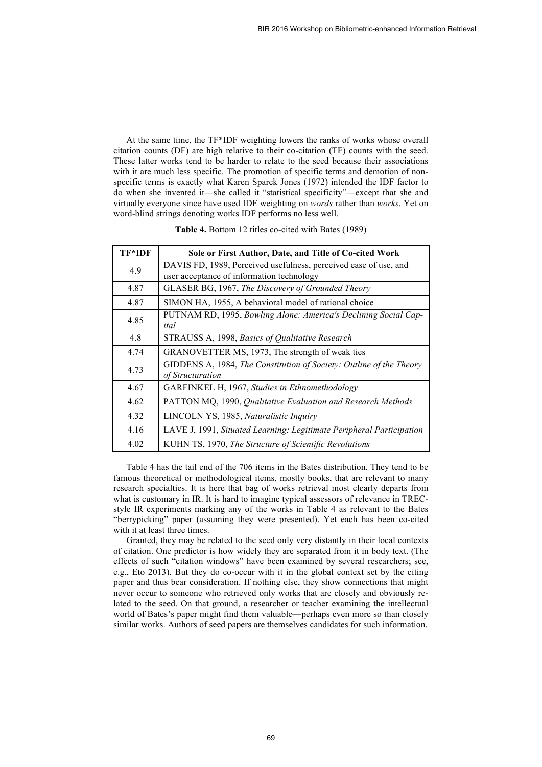At the same time, the TF\*IDF weighting lowers the ranks of works whose overall citation counts (DF) are high relative to their co-citation (TF) counts with the seed. These latter works tend to be harder to relate to the seed because their associations with it are much less specific. The promotion of specific terms and demotion of nonspecific terms is exactly what Karen Sparck Jones (1972) intended the IDF factor to do when she invented it—she called it "statistical specificity"—except that she and virtually everyone since have used IDF weighting on *words* rather than *works*. Yet on word-blind strings denoting works IDF performs no less well.

| <b>TF*IDF</b> | Sole or First Author, Date, and Title of Co-cited Work                                  |
|---------------|-----------------------------------------------------------------------------------------|
| 4.9           | DAVIS FD, 1989, Perceived usefulness, perceived ease of use, and                        |
|               | user acceptance of information technology                                               |
| 4.87          | GLASER BG, 1967, The Discovery of Grounded Theory                                       |
| 4.87          | SIMON HA, 1955, A behavioral model of rational choice                                   |
| 4.85          | PUTNAM RD, 1995, Bowling Alone: America's Declining Social Cap-<br>ital                 |
| 4.8           | STRAUSS A, 1998, Basics of Qualitative Research                                         |
| 4.74          | GRANOVETTER MS, 1973, The strength of weak ties                                         |
| 4.73          | GIDDENS A, 1984, The Constitution of Society: Outline of the Theory<br>of Structuration |
| 4.67          | GARFINKEL H, 1967, Studies in Ethnomethodology                                          |
| 4.62          | PATTON MQ, 1990, Qualitative Evaluation and Research Methods                            |
| 4.32          | LINCOLN YS, 1985, Naturalistic Inquiry                                                  |
| 4.16          | LAVE J, 1991, Situated Learning: Legitimate Peripheral Participation                    |
| 4.02          | KUHN TS, 1970, The Structure of Scientific Revolutions                                  |

**Table 4.** Bottom 12 titles co-cited with Bates (1989)

Table 4 has the tail end of the 706 items in the Bates distribution. They tend to be famous theoretical or methodological items, mostly books, that are relevant to many research specialties. It is here that bag of works retrieval most clearly departs from what is customary in IR. It is hard to imagine typical assessors of relevance in TRECstyle IR experiments marking any of the works in Table 4 as relevant to the Bates "berrypicking" paper (assuming they were presented). Yet each has been co-cited with it at least three times.

Granted, they may be related to the seed only very distantly in their local contexts of citation. One predictor is how widely they are separated from it in body text. (The effects of such "citation windows" have been examined by several researchers; see, e.g., Eto 2013). But they do co-occur with it in the global context set by the citing paper and thus bear consideration. If nothing else, they show connections that might never occur to someone who retrieved only works that are closely and obviously related to the seed. On that ground, a researcher or teacher examining the intellectual world of Bates's paper might find them valuable—perhaps even more so than closely similar works. Authors of seed papers are themselves candidates for such information.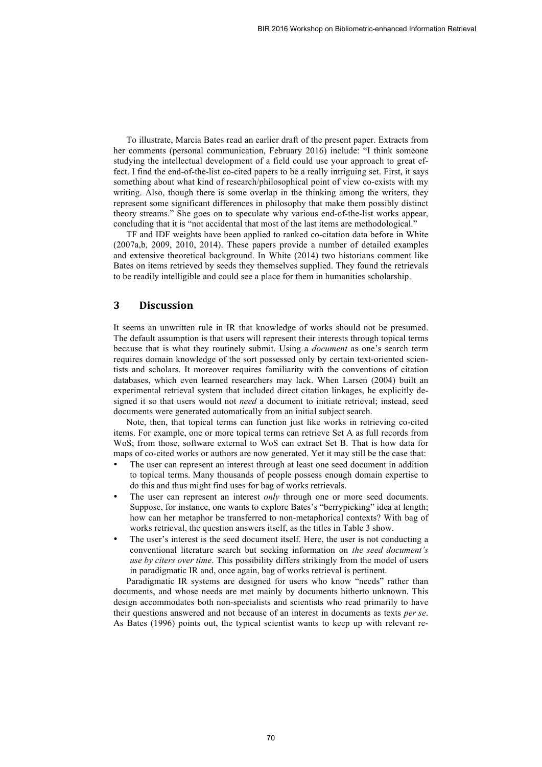To illustrate, Marcia Bates read an earlier draft of the present paper. Extracts from her comments (personal communication, February 2016) include: "I think someone studying the intellectual development of a field could use your approach to great effect. I find the end-of-the-list co-cited papers to be a really intriguing set. First, it says something about what kind of research/philosophical point of view co-exists with my writing. Also, though there is some overlap in the thinking among the writers, they represent some significant differences in philosophy that make them possibly distinct theory streams." She goes on to speculate why various end-of-the-list works appear, concluding that it is "not accidental that most of the last items are methodological."

TF and IDF weights have been applied to ranked co-citation data before in White (2007a,b, 2009, 2010, 2014). These papers provide a number of detailed examples and extensive theoretical background. In White (2014) two historians comment like Bates on items retrieved by seeds they themselves supplied. They found the retrievals to be readily intelligible and could see a place for them in humanities scholarship.

## **3 Discussion**

It seems an unwritten rule in IR that knowledge of works should not be presumed. The default assumption is that users will represent their interests through topical terms because that is what they routinely submit. Using a *document* as one's search term requires domain knowledge of the sort possessed only by certain text-oriented scientists and scholars. It moreover requires familiarity with the conventions of citation databases, which even learned researchers may lack. When Larsen (2004) built an experimental retrieval system that included direct citation linkages, he explicitly designed it so that users would not *need* a document to initiate retrieval; instead, seed documents were generated automatically from an initial subject search.

Note, then, that topical terms can function just like works in retrieving co-cited items. For example, one or more topical terms can retrieve Set A as full records from WoS; from those, software external to WoS can extract Set B. That is how data for maps of co-cited works or authors are now generated. Yet it may still be the case that:

- The user can represent an interest through at least one seed document in addition to topical terms. Many thousands of people possess enough domain expertise to do this and thus might find uses for bag of works retrievals.
- The user can represent an interest *only* through one or more seed documents. Suppose, for instance, one wants to explore Bates's "berrypicking" idea at length; how can her metaphor be transferred to non-metaphorical contexts? With bag of works retrieval, the question answers itself, as the titles in Table 3 show.
- The user's interest is the seed document itself. Here, the user is not conducting a conventional literature search but seeking information on *the seed document's use by citers over time*. This possibility differs strikingly from the model of users in paradigmatic IR and, once again, bag of works retrieval is pertinent.

Paradigmatic IR systems are designed for users who know "needs" rather than documents, and whose needs are met mainly by documents hitherto unknown. This design accommodates both non-specialists and scientists who read primarily to have their questions answered and not because of an interest in documents as texts *per se*. As Bates (1996) points out, the typical scientist wants to keep up with relevant re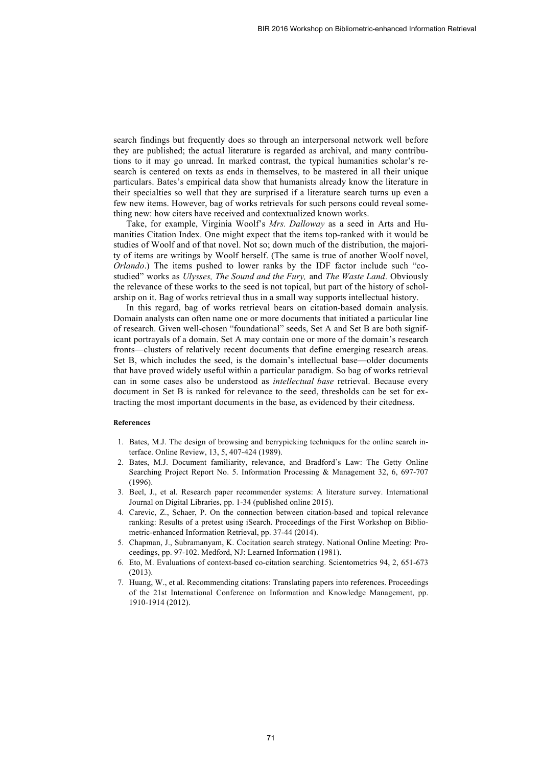search findings but frequently does so through an interpersonal network well before they are published; the actual literature is regarded as archival, and many contributions to it may go unread. In marked contrast, the typical humanities scholar's research is centered on texts as ends in themselves, to be mastered in all their unique particulars. Bates's empirical data show that humanists already know the literature in their specialties so well that they are surprised if a literature search turns up even a few new items. However, bag of works retrievals for such persons could reveal something new: how citers have received and contextualized known works.

Take, for example, Virginia Woolf's *Mrs. Dalloway* as a seed in Arts and Humanities Citation Index. One might expect that the items top-ranked with it would be studies of Woolf and of that novel. Not so; down much of the distribution, the majority of items are writings by Woolf herself. (The same is true of another Woolf novel, *Orlando*.) The items pushed to lower ranks by the IDF factor include such "costudied" works as *Ulysses, The Sound and the Fury,* and *The Waste Land*. Obviously the relevance of these works to the seed is not topical, but part of the history of scholarship on it. Bag of works retrieval thus in a small way supports intellectual history.

In this regard, bag of works retrieval bears on citation-based domain analysis. Domain analysts can often name one or more documents that initiated a particular line of research. Given well-chosen "foundational" seeds, Set A and Set B are both significant portrayals of a domain. Set A may contain one or more of the domain's research fronts—clusters of relatively recent documents that define emerging research areas. Set B, which includes the seed, is the domain's intellectual base—older documents that have proved widely useful within a particular paradigm. So bag of works retrieval can in some cases also be understood as *intellectual base* retrieval. Because every document in Set B is ranked for relevance to the seed, thresholds can be set for extracting the most important documents in the base, as evidenced by their citedness.

#### **References**

- 1. Bates, M.J. The design of browsing and berrypicking techniques for the online search interface. Online Review, 13, 5, 407-424 (1989).
- 2. Bates, M.J. Document familiarity, relevance, and Bradford's Law: The Getty Online Searching Project Report No. 5. Information Processing & Management 32, 6, 697-707 (1996).
- 3. Beel, J., et al. Research paper recommender systems: A literature survey. International Journal on Digital Libraries, pp. 1-34 (published online 2015).
- 4. Carevic, Z., Schaer, P. On the connection between citation-based and topical relevance ranking: Results of a pretest using iSearch. Proceedings of the First Workshop on Bibliometric-enhanced Information Retrieval, pp. 37-44 (2014).
- 5. Chapman, J., Subramanyam, K. Cocitation search strategy. National Online Meeting: Proceedings, pp. 97-102. Medford, NJ: Learned Information (1981).
- 6. Eto, M. Evaluations of context-based co-citation searching. Scientometrics 94, 2, 651-673 (2013).
- 7. Huang, W., et al. Recommending citations: Translating papers into references. Proceedings of the 21st International Conference on Information and Knowledge Management, pp. 1910-1914 (2012).